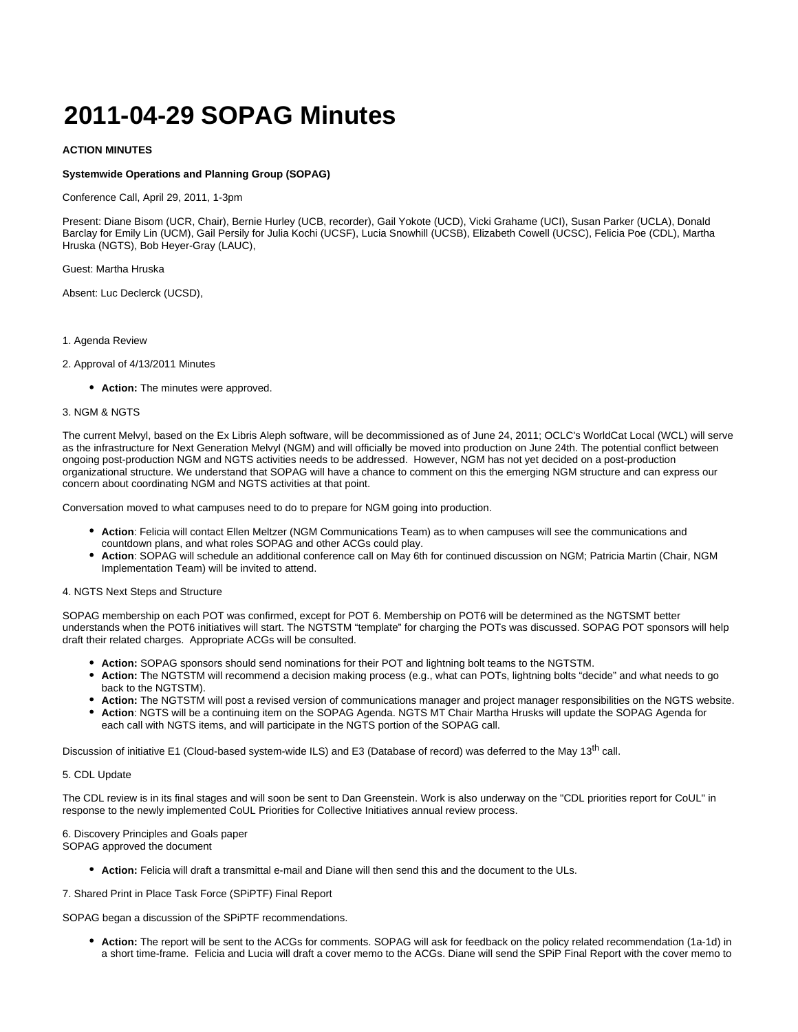# **2011-04-29 SOPAG Minutes**

## **ACTION MINUTES**

### **Systemwide Operations and Planning Group (SOPAG)**

Conference Call, April 29, 2011, 1-3pm

Present: Diane Bisom (UCR, Chair), Bernie Hurley (UCB, recorder), Gail Yokote (UCD), Vicki Grahame (UCI), Susan Parker (UCLA), Donald Barclay for Emily Lin (UCM), Gail Persily for Julia Kochi (UCSF), Lucia Snowhill (UCSB), Elizabeth Cowell (UCSC), Felicia Poe (CDL), Martha Hruska (NGTS), Bob Heyer-Gray (LAUC),

Guest: Martha Hruska

Absent: Luc Declerck (UCSD),

- 1. Agenda Review
- 2. Approval of 4/13/2011 Minutes
	- **Action:** The minutes were approved.

#### 3. NGM & NGTS

The current Melvyl, based on the Ex Libris Aleph software, will be decommissioned as of June 24, 2011; OCLC's WorldCat Local (WCL) will serve as the infrastructure for Next Generation Melvyl (NGM) and will officially be moved into production on June 24th. The potential conflict between ongoing post-production NGM and NGTS activities needs to be addressed. However, NGM has not yet decided on a post-production organizational structure. We understand that SOPAG will have a chance to comment on this the emerging NGM structure and can express our concern about coordinating NGM and NGTS activities at that point.

Conversation moved to what campuses need to do to prepare for NGM going into production.

- **Action**: Felicia will contact Ellen Meltzer (NGM Communications Team) as to when campuses will see the communications and countdown plans, and what roles SOPAG and other ACGs could play.
- **Action**: SOPAG will schedule an additional conference call on May 6th for continued discussion on NGM; Patricia Martin (Chair, NGM Implementation Team) will be invited to attend.

#### 4. NGTS Next Steps and Structure

SOPAG membership on each POT was confirmed, except for POT 6. Membership on POT6 will be determined as the NGTSMT better understands when the POT6 initiatives will start. The NGTSTM "template" for charging the POTs was discussed. SOPAG POT sponsors will help draft their related charges. Appropriate ACGs will be consulted.

- **Action:** SOPAG sponsors should send nominations for their POT and lightning bolt teams to the NGTSTM.
- **Action:** The NGTSTM will recommend a decision making process (e.g., what can POTs, lightning bolts "decide" and what needs to go back to the NGTSTM).
- **Action:** The NGTSTM will post a revised version of communications manager and project manager responsibilities on the NGTS website.
- **Action**: NGTS will be a continuing item on the SOPAG Agenda. NGTS MT Chair Martha Hrusks will update the SOPAG Agenda for each call with NGTS items, and will participate in the NGTS portion of the SOPAG call.

Discussion of initiative E1 (Cloud-based system-wide ILS) and E3 (Database of record) was deferred to the May 13<sup>th</sup> call.

#### 5. CDL Update

The CDL review is in its final stages and will soon be sent to Dan Greenstein. Work is also underway on the "CDL priorities report for CoUL" in response to the newly implemented CoUL Priorities for Collective Initiatives annual review process.

6. Discovery Principles and Goals paper SOPAG approved the document

**Action:** Felicia will draft a transmittal e-mail and Diane will then send this and the document to the ULs.

7. Shared Print in Place Task Force (SPiPTF) Final Report

SOPAG began a discussion of the SPiPTF recommendations.

**Action:** The report will be sent to the ACGs for comments. SOPAG will ask for feedback on the policy related recommendation (1a-1d) in a short time-frame. Felicia and Lucia will draft a cover memo to the ACGs. Diane will send the SPiP Final Report with the cover memo to